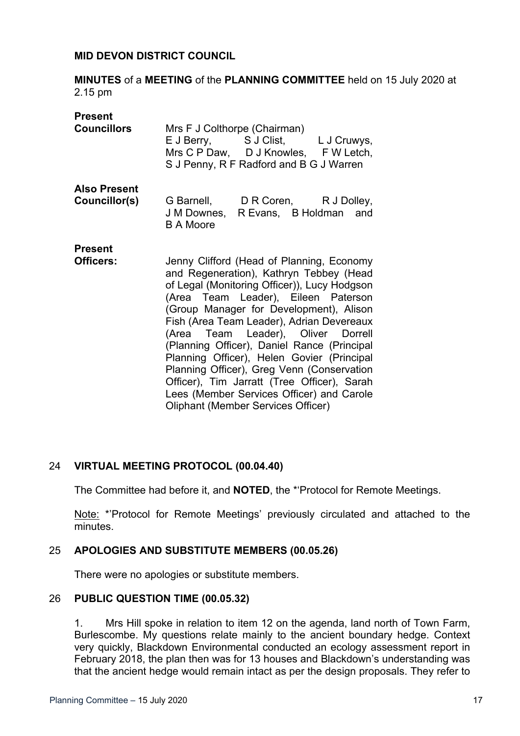#### **MID DEVON DISTRICT COUNCIL**

**MINUTES** of a **MEETING** of the **PLANNING COMMITTEE** held on 15 July 2020 at 2.15 pm

| <b>Present</b><br><b>Councillors</b> | Mrs F J Colthorpe (Chairman)<br>E J Berry, S J Clist, L J Cruwys,<br>Mrs C P Daw, D J Knowles, F W Letch,<br>S J Penny, R F Radford and B G J Warren                                                                                                                                                                                                                                                                                                                                                                                                                                          |
|--------------------------------------|-----------------------------------------------------------------------------------------------------------------------------------------------------------------------------------------------------------------------------------------------------------------------------------------------------------------------------------------------------------------------------------------------------------------------------------------------------------------------------------------------------------------------------------------------------------------------------------------------|
| <b>Also Present</b><br>Councillor(s) | G Barnell, D R Coren, R J Dolley,<br>J M Downes, R Evans, B Holdman<br>and<br><b>B A Moore</b>                                                                                                                                                                                                                                                                                                                                                                                                                                                                                                |
| <b>Present</b><br>Officers:          | Jenny Clifford (Head of Planning, Economy<br>and Regeneration), Kathryn Tebbey (Head<br>of Legal (Monitoring Officer)), Lucy Hodgson<br>(Area Team Leader), Eileen Paterson<br>(Group Manager for Development), Alison<br>Fish (Area Team Leader), Adrian Devereaux<br>(Area Team Leader), Oliver Dorrell<br>(Planning Officer), Daniel Rance (Principal<br>Planning Officer), Helen Govier (Principal<br>Planning Officer), Greg Venn (Conservation<br>Officer), Tim Jarratt (Tree Officer), Sarah<br>Lees (Member Services Officer) and Carole<br><b>Oliphant (Member Services Officer)</b> |

## 24 **VIRTUAL MEETING PROTOCOL (00.04.40)**

The Committee had before it, and **NOTED**, the \*'Protocol for Remote Meetings.

Note: \*'Protocol for Remote Meetings' previously circulated and attached to the minutes.

## 25 **APOLOGIES AND SUBSTITUTE MEMBERS (00.05.26)**

There were no apologies or substitute members.

## 26 **PUBLIC QUESTION TIME (00.05.32)**

1. Mrs Hill spoke in relation to item 12 on the agenda, land north of Town Farm, Burlescombe. My questions relate mainly to the ancient boundary hedge. Context very quickly, Blackdown Environmental conducted an ecology assessment report in February 2018, the plan then was for 13 houses and Blackdown's understanding was that the ancient hedge would remain intact as per the design proposals. They refer to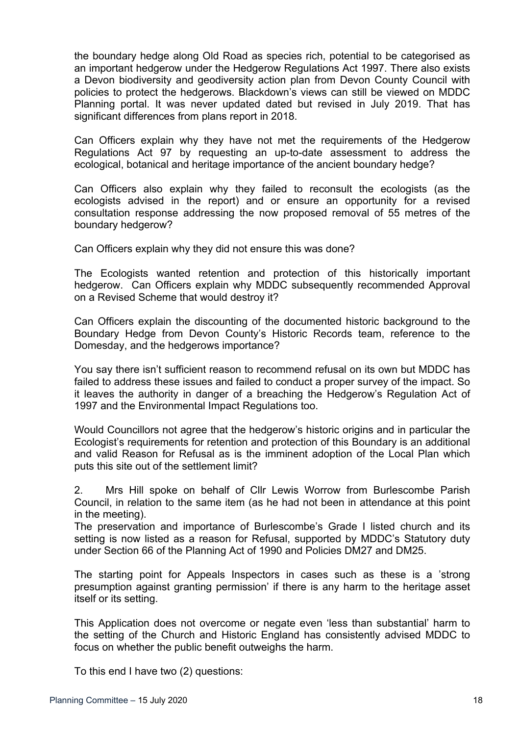the boundary hedge along Old Road as species rich, potential to be categorised as an important hedgerow under the Hedgerow Regulations Act 1997. There also exists a Devon biodiversity and geodiversity action plan from Devon County Council with policies to protect the hedgerows. Blackdown's views can still be viewed on MDDC Planning portal. It was never updated dated but revised in July 2019. That has significant differences from plans report in 2018.

Can Officers explain why they have not met the requirements of the Hedgerow Regulations Act 97 by requesting an up-to-date assessment to address the ecological, botanical and heritage importance of the ancient boundary hedge?

Can Officers also explain why they failed to reconsult the ecologists (as the ecologists advised in the report) and or ensure an opportunity for a revised consultation response addressing the now proposed removal of 55 metres of the boundary hedgerow?

Can Officers explain why they did not ensure this was done?

The Ecologists wanted retention and protection of this historically important hedgerow. Can Officers explain why MDDC subsequently recommended Approval on a Revised Scheme that would destroy it?

Can Officers explain the discounting of the documented historic background to the Boundary Hedge from Devon County's Historic Records team, reference to the Domesday, and the hedgerows importance?

You say there isn't sufficient reason to recommend refusal on its own but MDDC has failed to address these issues and failed to conduct a proper survey of the impact. So it leaves the authority in danger of a breaching the Hedgerow's Regulation Act of 1997 and the Environmental Impact Regulations too.

Would Councillors not agree that the hedgerow's historic origins and in particular the Ecologist's requirements for retention and protection of this Boundary is an additional and valid Reason for Refusal as is the imminent adoption of the Local Plan which puts this site out of the settlement limit?

2. Mrs Hill spoke on behalf of Cllr Lewis Worrow from Burlescombe Parish Council, in relation to the same item (as he had not been in attendance at this point in the meeting).

The preservation and importance of Burlescombe's Grade I listed church and its setting is now listed as a reason for Refusal, supported by MDDC's Statutory duty under Section 66 of the Planning Act of 1990 and Policies DM27 and DM25.

The starting point for Appeals Inspectors in cases such as these is a 'strong presumption against granting permission' if there is any harm to the heritage asset itself or its setting.

This Application does not overcome or negate even 'less than substantial' harm to the setting of the Church and Historic England has consistently advised MDDC to focus on whether the public benefit outweighs the harm.

To this end I have two (2) questions: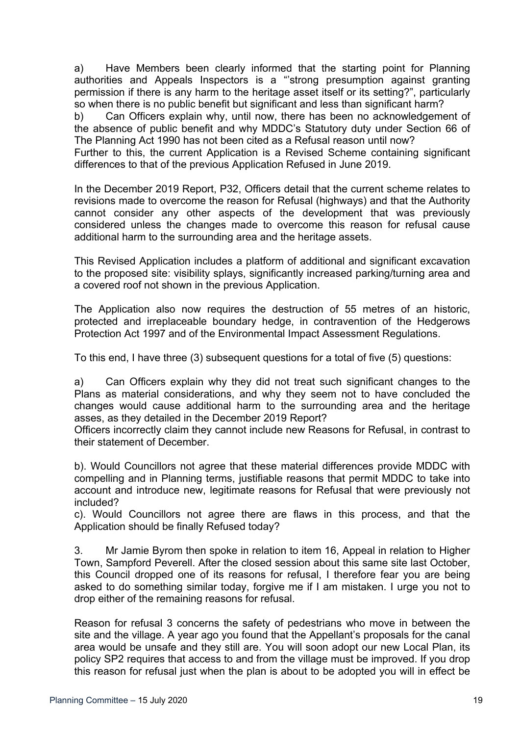a) Have Members been clearly informed that the starting point for Planning authorities and Appeals Inspectors is a "'strong presumption against granting permission if there is any harm to the heritage asset itself or its setting?", particularly so when there is no public benefit but significant and less than significant harm?

b) Can Officers explain why, until now, there has been no acknowledgement of the absence of public benefit and why MDDC's Statutory duty under Section 66 of The Planning Act 1990 has not been cited as a Refusal reason until now?

Further to this, the current Application is a Revised Scheme containing significant differences to that of the previous Application Refused in June 2019.

In the December 2019 Report, P32, Officers detail that the current scheme relates to revisions made to overcome the reason for Refusal (highways) and that the Authority cannot consider any other aspects of the development that was previously considered unless the changes made to overcome this reason for refusal cause additional harm to the surrounding area and the heritage assets.

This Revised Application includes a platform of additional and significant excavation to the proposed site: visibility splays, significantly increased parking/turning area and a covered roof not shown in the previous Application.

The Application also now requires the destruction of 55 metres of an historic, protected and irreplaceable boundary hedge, in contravention of the Hedgerows Protection Act 1997 and of the Environmental Impact Assessment Regulations.

To this end, I have three (3) subsequent questions for a total of five (5) questions:

a) Can Officers explain why they did not treat such significant changes to the Plans as material considerations, and why they seem not to have concluded the changes would cause additional harm to the surrounding area and the heritage asses, as they detailed in the December 2019 Report?

Officers incorrectly claim they cannot include new Reasons for Refusal, in contrast to their statement of December.

b). Would Councillors not agree that these material differences provide MDDC with compelling and in Planning terms, justifiable reasons that permit MDDC to take into account and introduce new, legitimate reasons for Refusal that were previously not included?

c). Would Councillors not agree there are flaws in this process, and that the Application should be finally Refused today?

3. Mr Jamie Byrom then spoke in relation to item 16, Appeal in relation to Higher Town, Sampford Peverell. After the closed session about this same site last October, this Council dropped one of its reasons for refusal, I therefore fear you are being asked to do something similar today, forgive me if I am mistaken. I urge you not to drop either of the remaining reasons for refusal.

Reason for refusal 3 concerns the safety of pedestrians who move in between the site and the village. A year ago you found that the Appellant's proposals for the canal area would be unsafe and they still are. You will soon adopt our new Local Plan, its policy SP2 requires that access to and from the village must be improved. If you drop this reason for refusal just when the plan is about to be adopted you will in effect be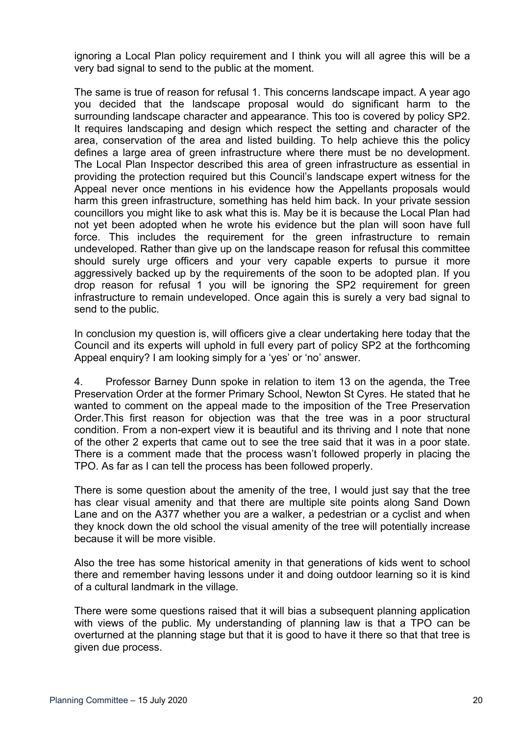ignoring a Local Plan policy requirement and I think you will all agree this will be a very bad signal to send to the public at the moment.

The same is true of reason for refusal 1. This concerns landscape impact. A year ago you decided that the landscape proposal would do significant harm to the surrounding landscape character and appearance. This too is covered by policy SP2. It requires landscaping and design which respect the setting and character of the area, conservation of the area and listed building. To help achieve this the policy defines a large area of green infrastructure where there must be no development. The Local Plan Inspector described this area of green infrastructure as essential in providing the protection required but this Council's landscape expert witness for the Appeal never once mentions in his evidence how the Appellants proposals would harm this green infrastructure, something has held him back. In your private session councillors you might like to ask what this is. May be it is because the Local Plan had not yet been adopted when he wrote his evidence but the plan will soon have full force. This includes the requirement for the green infrastructure to remain undeveloped. Rather than give up on the landscape reason for refusal this committee should surely urge officers and your very capable experts to pursue it more aggressively backed up by the requirements of the soon to be adopted plan. If you drop reason for refusal 1 you will be ignoring the SP2 requirement for green infrastructure to remain undeveloped. Once again this is surely a very bad signal to send to the public.

In conclusion my question is, will officers give a clear undertaking here today that the Council and its experts will uphold in full every part of policy SP2 at the forthcoming Appeal enquiry? I am looking simply for a 'yes' or 'no' answer.

4. Professor Barney Dunn spoke in relation to item 13 on the agenda, the Tree Preservation Order at the former Primary School, Newton St Cyres. He stated that he wanted to comment on the appeal made to the imposition of the Tree Preservation Order.This first reason for objection was that the tree was in a poor structural condition. From a non-expert view it is beautiful and its thriving and I note that none of the other 2 experts that came out to see the tree said that it was in a poor state. There is a comment made that the process wasn't followed properly in placing the TPO. As far as I can tell the process has been followed properly.

There is some question about the amenity of the tree, I would just say that the tree has clear visual amenity and that there are multiple site points along Sand Down Lane and on the A377 whether you are a walker, a pedestrian or a cyclist and when they knock down the old school the visual amenity of the tree will potentially increase because it will be more visible.

Also the tree has some historical amenity in that generations of kids went to school there and remember having lessons under it and doing outdoor learning so it is kind of a cultural landmark in the village.

There were some questions raised that it will bias a subsequent planning application with views of the public. My understanding of planning law is that a TPO can be overturned at the planning stage but that it is good to have it there so that that tree is given due process.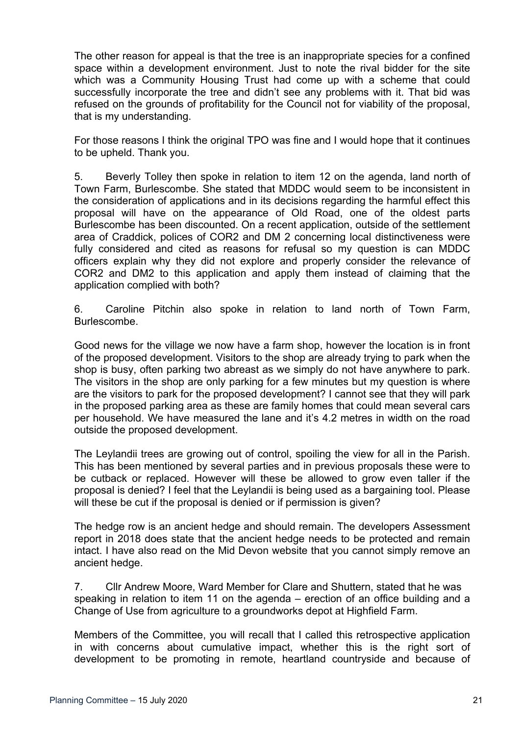The other reason for appeal is that the tree is an inappropriate species for a confined space within a development environment. Just to note the rival bidder for the site which was a Community Housing Trust had come up with a scheme that could successfully incorporate the tree and didn't see any problems with it. That bid was refused on the grounds of profitability for the Council not for viability of the proposal, that is my understanding.

For those reasons I think the original TPO was fine and I would hope that it continues to be upheld. Thank you.

5. Beverly Tolley then spoke in relation to item 12 on the agenda, land north of Town Farm, Burlescombe. She stated that MDDC would seem to be inconsistent in the consideration of applications and in its decisions regarding the harmful effect this proposal will have on the appearance of Old Road, one of the oldest parts Burlescombe has been discounted. On a recent application, outside of the settlement area of Craddick, polices of COR2 and DM 2 concerning local distinctiveness were fully considered and cited as reasons for refusal so my question is can MDDC officers explain why they did not explore and properly consider the relevance of COR2 and DM2 to this application and apply them instead of claiming that the application complied with both?

6. Caroline Pitchin also spoke in relation to land north of Town Farm, **Burlescombe** 

Good news for the village we now have a farm shop, however the location is in front of the proposed development. Visitors to the shop are already trying to park when the shop is busy, often parking two abreast as we simply do not have anywhere to park. The visitors in the shop are only parking for a few minutes but my question is where are the visitors to park for the proposed development? I cannot see that they will park in the proposed parking area as these are family homes that could mean several cars per household. We have measured the lane and it's 4.2 metres in width on the road outside the proposed development.

The Leylandii trees are growing out of control, spoiling the view for all in the Parish. This has been mentioned by several parties and in previous proposals these were to be cutback or replaced. However will these be allowed to grow even taller if the proposal is denied? I feel that the Leylandii is being used as a bargaining tool. Please will these be cut if the proposal is denied or if permission is given?

The hedge row is an ancient hedge and should remain. The developers Assessment report in 2018 does state that the ancient hedge needs to be protected and remain intact. I have also read on the Mid Devon website that you cannot simply remove an ancient hedge.

7. Cllr Andrew Moore, Ward Member for Clare and Shuttern, stated that he was speaking in relation to item 11 on the agenda – erection of an office building and a Change of Use from agriculture to a groundworks depot at Highfield Farm.

Members of the Committee, you will recall that I called this retrospective application in with concerns about cumulative impact, whether this is the right sort of development to be promoting in remote, heartland countryside and because of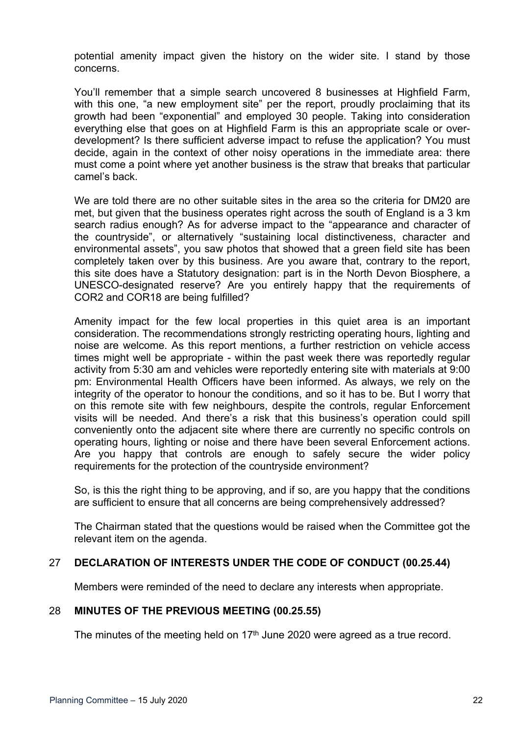potential amenity impact given the history on the wider site. I stand by those concerns.

You'll remember that a simple search uncovered 8 businesses at Highfield Farm, with this one, "a new employment site" per the report, proudly proclaiming that its growth had been "exponential" and employed 30 people. Taking into consideration everything else that goes on at Highfield Farm is this an appropriate scale or overdevelopment? Is there sufficient adverse impact to refuse the application? You must decide, again in the context of other noisy operations in the immediate area: there must come a point where yet another business is the straw that breaks that particular camel's back.

We are told there are no other suitable sites in the area so the criteria for DM20 are met, but given that the business operates right across the south of England is a 3 km search radius enough? As for adverse impact to the "appearance and character of the countryside", or alternatively "sustaining local distinctiveness, character and environmental assets", you saw photos that showed that a green field site has been completely taken over by this business. Are you aware that, contrary to the report, this site does have a Statutory designation: part is in the North Devon Biosphere, a UNESCO-designated reserve? Are you entirely happy that the requirements of COR2 and COR18 are being fulfilled?

Amenity impact for the few local properties in this quiet area is an important consideration. The recommendations strongly restricting operating hours, lighting and noise are welcome. As this report mentions, a further restriction on vehicle access times might well be appropriate - within the past week there was reportedly regular activity from 5:30 am and vehicles were reportedly entering site with materials at 9:00 pm: Environmental Health Officers have been informed. As always, we rely on the integrity of the operator to honour the conditions, and so it has to be. But I worry that on this remote site with few neighbours, despite the controls, regular Enforcement visits will be needed. And there's a risk that this business's operation could spill conveniently onto the adjacent site where there are currently no specific controls on operating hours, lighting or noise and there have been several Enforcement actions. Are you happy that controls are enough to safely secure the wider policy requirements for the protection of the countryside environment?

So, is this the right thing to be approving, and if so, are you happy that the conditions are sufficient to ensure that all concerns are being comprehensively addressed?

The Chairman stated that the questions would be raised when the Committee got the relevant item on the agenda.

# 27 **DECLARATION OF INTERESTS UNDER THE CODE OF CONDUCT (00.25.44)**

Members were reminded of the need to declare any interests when appropriate.

## 28 **MINUTES OF THE PREVIOUS MEETING (00.25.55)**

The minutes of the meeting held on  $17<sup>th</sup>$  June 2020 were agreed as a true record.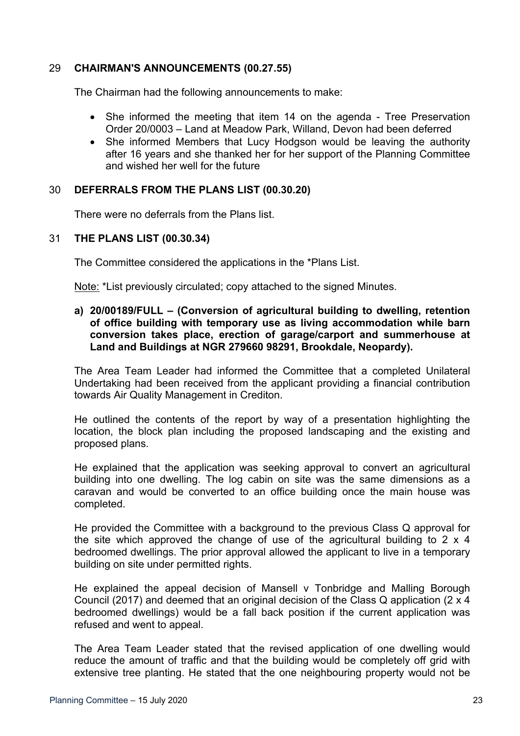## 29 **CHAIRMAN'S ANNOUNCEMENTS (00.27.55)**

The Chairman had the following announcements to make:

- She informed the meeting that item 14 on the agenda Tree Preservation Order 20/0003 – Land at Meadow Park, Willand, Devon had been deferred
- She informed Members that Lucy Hodgson would be leaving the authority after 16 years and she thanked her for her support of the Planning Committee and wished her well for the future

## 30 **DEFERRALS FROM THE PLANS LIST (00.30.20)**

There were no deferrals from the Plans list.

## 31 **THE PLANS LIST (00.30.34)**

The Committee considered the applications in the \*Plans List.

Note: \*List previously circulated; copy attached to the signed Minutes.

**a) 20/00189/FULL – (Conversion of agricultural building to dwelling, retention of office building with temporary use as living accommodation while barn conversion takes place, erection of garage/carport and summerhouse at Land and Buildings at NGR 279660 98291, Brookdale, Neopardy).**

The Area Team Leader had informed the Committee that a completed Unilateral Undertaking had been received from the applicant providing a financial contribution towards Air Quality Management in Crediton.

He outlined the contents of the report by way of a presentation highlighting the location, the block plan including the proposed landscaping and the existing and proposed plans.

He explained that the application was seeking approval to convert an agricultural building into one dwelling. The log cabin on site was the same dimensions as a caravan and would be converted to an office building once the main house was completed.

He provided the Committee with a background to the previous Class Q approval for the site which approved the change of use of the agricultural building to 2 x 4 bedroomed dwellings. The prior approval allowed the applicant to live in a temporary building on site under permitted rights.

He explained the appeal decision of Mansell v Tonbridge and Malling Borough Council (2017) and deemed that an original decision of the Class Q application (2 x 4 bedroomed dwellings) would be a fall back position if the current application was refused and went to appeal.

The Area Team Leader stated that the revised application of one dwelling would reduce the amount of traffic and that the building would be completely off grid with extensive tree planting. He stated that the one neighbouring property would not be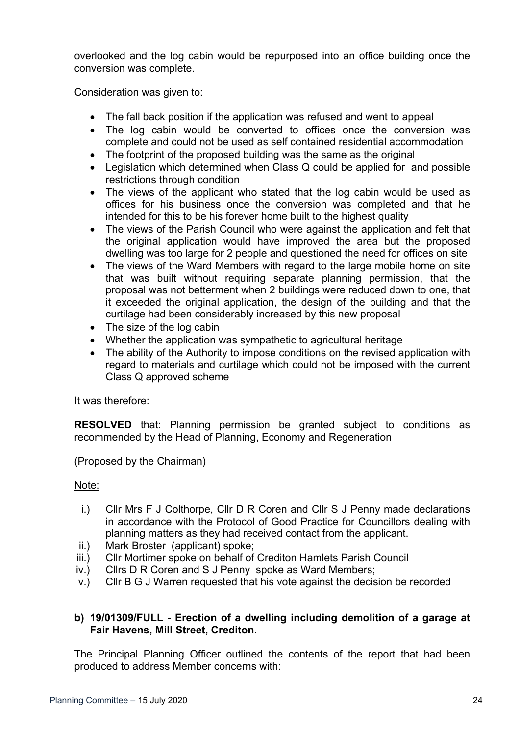overlooked and the log cabin would be repurposed into an office building once the conversion was complete.

Consideration was given to:

- The fall back position if the application was refused and went to appeal
- The log cabin would be converted to offices once the conversion was complete and could not be used as self contained residential accommodation
- The footprint of the proposed building was the same as the original
- Legislation which determined when Class Q could be applied for and possible restrictions through condition
- The views of the applicant who stated that the log cabin would be used as offices for his business once the conversion was completed and that he intended for this to be his forever home built to the highest quality
- The views of the Parish Council who were against the application and felt that the original application would have improved the area but the proposed dwelling was too large for 2 people and questioned the need for offices on site
- The views of the Ward Members with regard to the large mobile home on site that was built without requiring separate planning permission, that the proposal was not betterment when 2 buildings were reduced down to one, that it exceeded the original application, the design of the building and that the curtilage had been considerably increased by this new proposal
- The size of the log cabin
- Whether the application was sympathetic to agricultural heritage
- The ability of the Authority to impose conditions on the revised application with regard to materials and curtilage which could not be imposed with the current Class Q approved scheme

It was therefore:

**RESOLVED** that: Planning permission be granted subject to conditions as recommended by the Head of Planning, Economy and Regeneration

(Proposed by the Chairman)

## Note:

- i.) Cllr Mrs F J Colthorpe, Cllr D R Coren and Cllr S J Penny made declarations in accordance with the Protocol of Good Practice for Councillors dealing with planning matters as they had received contact from the applicant.
- ii.) Mark Broster (applicant) spoke;
- iii.) Cllr Mortimer spoke on behalf of Crediton Hamlets Parish Council
- iv.) Cllrs D R Coren and S J Penny spoke as Ward Members;
- v.) Cllr B G J Warren requested that his vote against the decision be recorded

## **b) 19/01309/FULL - Erection of a dwelling including demolition of a garage at Fair Havens, Mill Street, Crediton.**

The Principal Planning Officer outlined the contents of the report that had been produced to address Member concerns with: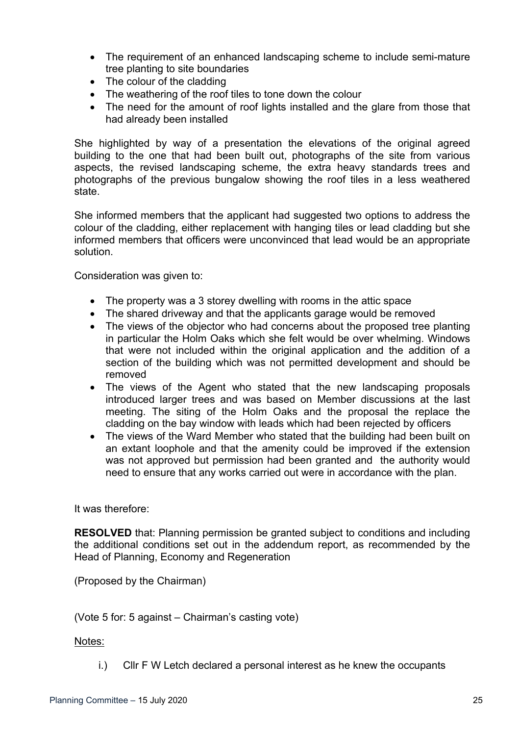- The requirement of an enhanced landscaping scheme to include semi-mature tree planting to site boundaries
- The colour of the cladding
- The weathering of the roof tiles to tone down the colour
- The need for the amount of roof lights installed and the glare from those that had already been installed

She highlighted by way of a presentation the elevations of the original agreed building to the one that had been built out, photographs of the site from various aspects, the revised landscaping scheme, the extra heavy standards trees and photographs of the previous bungalow showing the roof tiles in a less weathered state.

She informed members that the applicant had suggested two options to address the colour of the cladding, either replacement with hanging tiles or lead cladding but she informed members that officers were unconvinced that lead would be an appropriate solution.

Consideration was given to:

- The property was a 3 storey dwelling with rooms in the attic space
- The shared driveway and that the applicants garage would be removed
- The views of the objector who had concerns about the proposed tree planting in particular the Holm Oaks which she felt would be over whelming. Windows that were not included within the original application and the addition of a section of the building which was not permitted development and should be removed
- The views of the Agent who stated that the new landscaping proposals introduced larger trees and was based on Member discussions at the last meeting. The siting of the Holm Oaks and the proposal the replace the cladding on the bay window with leads which had been rejected by officers
- The views of the Ward Member who stated that the building had been built on an extant loophole and that the amenity could be improved if the extension was not approved but permission had been granted and the authority would need to ensure that any works carried out were in accordance with the plan.

It was therefore:

**RESOLVED** that: Planning permission be granted subject to conditions and including the additional conditions set out in the addendum report, as recommended by the Head of Planning, Economy and Regeneration

(Proposed by the Chairman)

(Vote 5 for: 5 against – Chairman's casting vote)

Notes:

i.) Cllr F W Letch declared a personal interest as he knew the occupants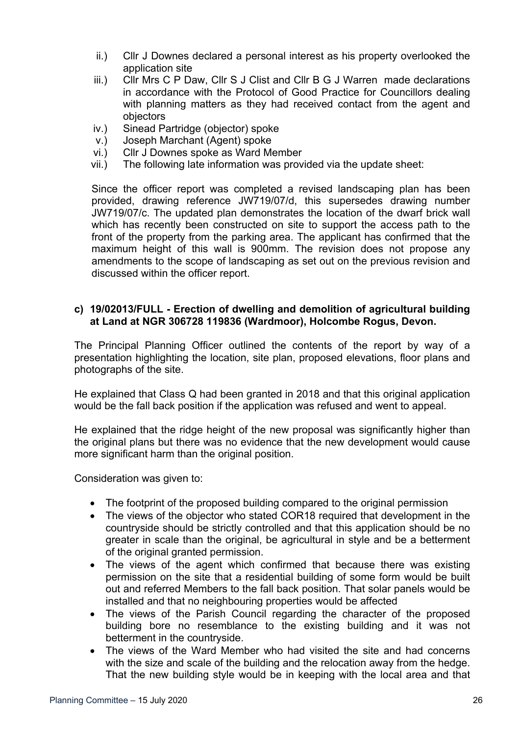- ii.) Cllr J Downes declared a personal interest as his property overlooked the application site
- iii.) Cllr Mrs C P Daw, Cllr S J Clist and Cllr B G J Warren made declarations in accordance with the Protocol of Good Practice for Councillors dealing with planning matters as they had received contact from the agent and objectors
- iv.) Sinead Partridge (objector) spoke
- v.) Joseph Marchant (Agent) spoke
- vi.) Cllr J Downes spoke as Ward Member
- vii.) The following late information was provided via the update sheet:

Since the officer report was completed a revised landscaping plan has been provided, drawing reference JW719/07/d, this supersedes drawing number JW719/07/c. The updated plan demonstrates the location of the dwarf brick wall which has recently been constructed on site to support the access path to the front of the property from the parking area. The applicant has confirmed that the maximum height of this wall is 900mm. The revision does not propose any amendments to the scope of landscaping as set out on the previous revision and discussed within the officer report.

## **c) 19/02013/FULL - Erection of dwelling and demolition of agricultural building at Land at NGR 306728 119836 (Wardmoor), Holcombe Rogus, Devon.**

The Principal Planning Officer outlined the contents of the report by way of a presentation highlighting the location, site plan, proposed elevations, floor plans and photographs of the site.

He explained that Class Q had been granted in 2018 and that this original application would be the fall back position if the application was refused and went to appeal.

He explained that the ridge height of the new proposal was significantly higher than the original plans but there was no evidence that the new development would cause more significant harm than the original position.

Consideration was given to:

- The footprint of the proposed building compared to the original permission
- The views of the objector who stated COR18 required that development in the countryside should be strictly controlled and that this application should be no greater in scale than the original, be agricultural in style and be a betterment of the original granted permission.
- The views of the agent which confirmed that because there was existing permission on the site that a residential building of some form would be built out and referred Members to the fall back position. That solar panels would be installed and that no neighbouring properties would be affected
- The views of the Parish Council regarding the character of the proposed building bore no resemblance to the existing building and it was not betterment in the countryside.
- The views of the Ward Member who had visited the site and had concerns with the size and scale of the building and the relocation away from the hedge. That the new building style would be in keeping with the local area and that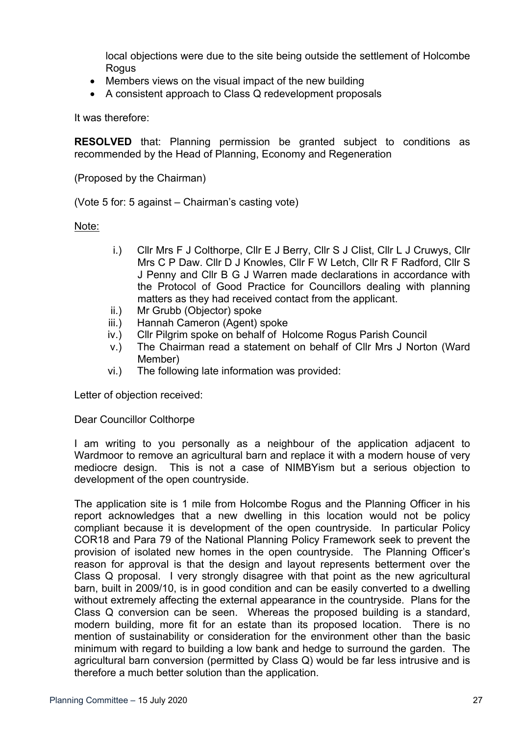local objections were due to the site being outside the settlement of Holcombe **Rogus** 

- Members views on the visual impact of the new building
- A consistent approach to Class Q redevelopment proposals

It was therefore:

**RESOLVED** that: Planning permission be granted subject to conditions as recommended by the Head of Planning, Economy and Regeneration

(Proposed by the Chairman)

(Vote 5 for: 5 against – Chairman's casting vote)

Note:

- i.) Cllr Mrs F J Colthorpe, Cllr E J Berry, Cllr S J Clist, Cllr L J Cruwys, Cllr Mrs C P Daw. Cllr D J Knowles, Cllr F W Letch, Cllr R F Radford, Cllr S J Penny and Cllr B G J Warren made declarations in accordance with the Protocol of Good Practice for Councillors dealing with planning matters as they had received contact from the applicant.
- ii.) Mr Grubb (Objector) spoke
- iii.) Hannah Cameron (Agent) spoke
- iv.) Cllr Pilgrim spoke on behalf of Holcome Rogus Parish Council
- v.) The Chairman read a statement on behalf of Cllr Mrs J Norton (Ward Member)
- vi.) The following late information was provided:

Letter of objection received:

Dear Councillor Colthorpe

I am writing to you personally as a neighbour of the application adjacent to Wardmoor to remove an agricultural barn and replace it with a modern house of very mediocre design. This is not a case of NIMBYism but a serious objection to development of the open countryside.

The application site is 1 mile from Holcombe Rogus and the Planning Officer in his report acknowledges that a new dwelling in this location would not be policy compliant because it is development of the open countryside. In particular Policy COR18 and Para 79 of the National Planning Policy Framework seek to prevent the provision of isolated new homes in the open countryside. The Planning Officer's reason for approval is that the design and layout represents betterment over the Class Q proposal. I very strongly disagree with that point as the new agricultural barn, built in 2009/10, is in good condition and can be easily converted to a dwelling without extremely affecting the external appearance in the countryside. Plans for the Class Q conversion can be seen. Whereas the proposed building is a standard, modern building, more fit for an estate than its proposed location. There is no mention of sustainability or consideration for the environment other than the basic minimum with regard to building a low bank and hedge to surround the garden. The agricultural barn conversion (permitted by Class Q) would be far less intrusive and is therefore a much better solution than the application.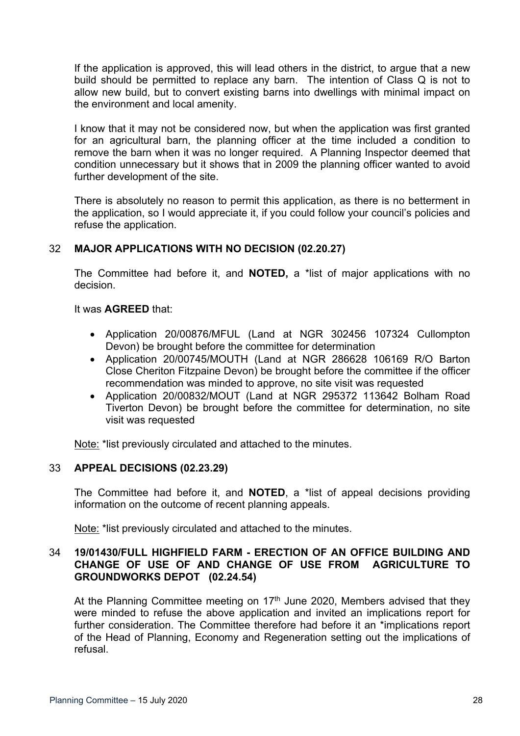If the application is approved, this will lead others in the district, to argue that a new build should be permitted to replace any barn. The intention of Class Q is not to allow new build, but to convert existing barns into dwellings with minimal impact on the environment and local amenity.

I know that it may not be considered now, but when the application was first granted for an agricultural barn, the planning officer at the time included a condition to remove the barn when it was no longer required. A Planning Inspector deemed that condition unnecessary but it shows that in 2009 the planning officer wanted to avoid further development of the site.

There is absolutely no reason to permit this application, as there is no betterment in the application, so I would appreciate it, if you could follow your council's policies and refuse the application.

# 32 **MAJOR APPLICATIONS WITH NO DECISION (02.20.27)**

The Committee had before it, and **NOTED,** a \*list of major applications with no decision.

It was **AGREED** that:

- Application 20/00876/MFUL (Land at NGR 302456 107324 Cullompton Devon) be brought before the committee for determination
- Application 20/00745/MOUTH (Land at NGR 286628 106169 R/O Barton Close Cheriton Fitzpaine Devon) be brought before the committee if the officer recommendation was minded to approve, no site visit was requested
- Application 20/00832/MOUT (Land at NGR 295372 113642 Bolham Road Tiverton Devon) be brought before the committee for determination, no site visit was requested

Note: \*list previously circulated and attached to the minutes.

# 33 **APPEAL DECISIONS (02.23.29)**

The Committee had before it, and **NOTED**, a \*list of appeal decisions providing information on the outcome of recent planning appeals.

Note: \*list previously circulated and attached to the minutes.

## 34 **19/01430/FULL HIGHFIELD FARM - ERECTION OF AN OFFICE BUILDING AND CHANGE OF USE OF AND CHANGE OF USE FROM AGRICULTURE TO GROUNDWORKS DEPOT (02.24.54)**

At the Planning Committee meeting on 17<sup>th</sup> June 2020, Members advised that they were minded to refuse the above application and invited an implications report for further consideration. The Committee therefore had before it an \*implications report of the Head of Planning, Economy and Regeneration setting out the implications of refusal.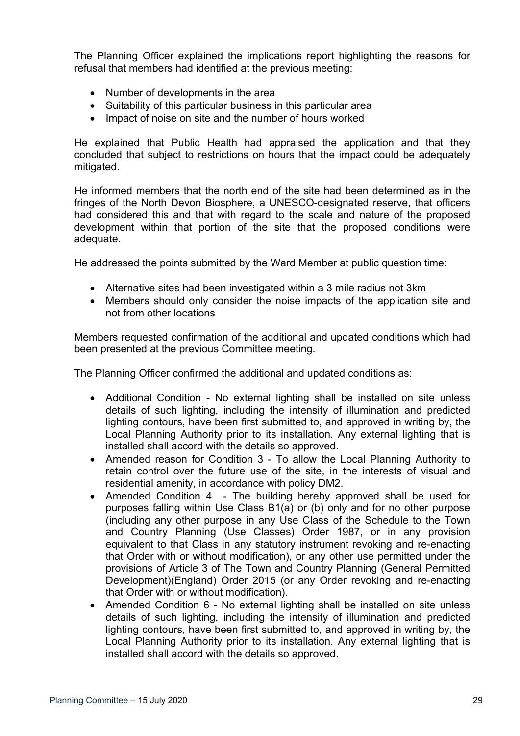The Planning Officer explained the implications report highlighting the reasons for refusal that members had identified at the previous meeting:

- Number of developments in the area
- Suitability of this particular business in this particular area
- Impact of noise on site and the number of hours worked

He explained that Public Health had appraised the application and that they concluded that subject to restrictions on hours that the impact could be adequately mitigated.

He informed members that the north end of the site had been determined as in the fringes of the North Devon Biosphere, a UNESCO-designated reserve, that officers had considered this and that with regard to the scale and nature of the proposed development within that portion of the site that the proposed conditions were adequate.

He addressed the points submitted by the Ward Member at public question time:

- Alternative sites had been investigated within a 3 mile radius not 3km
- Members should only consider the noise impacts of the application site and not from other locations

Members requested confirmation of the additional and updated conditions which had been presented at the previous Committee meeting.

The Planning Officer confirmed the additional and updated conditions as:

- Additional Condition No external lighting shall be installed on site unless details of such lighting, including the intensity of illumination and predicted lighting contours, have been first submitted to, and approved in writing by, the Local Planning Authority prior to its installation. Any external lighting that is installed shall accord with the details so approved.
- Amended reason for Condition 3 To allow the Local Planning Authority to retain control over the future use of the site, in the interests of visual and residential amenity, in accordance with policy DM2.
- Amended Condition 4 The building hereby approved shall be used for purposes falling within Use Class B1(a) or (b) only and for no other purpose (including any other purpose in any Use Class of the Schedule to the Town and Country Planning (Use Classes) Order 1987, or in any provision equivalent to that Class in any statutory instrument revoking and re-enacting that Order with or without modification), or any other use permitted under the provisions of Article 3 of The Town and Country Planning (General Permitted Development)(England) Order 2015 (or any Order revoking and re-enacting that Order with or without modification).
- Amended Condition 6 No external lighting shall be installed on site unless details of such lighting, including the intensity of illumination and predicted lighting contours, have been first submitted to, and approved in writing by, the Local Planning Authority prior to its installation. Any external lighting that is installed shall accord with the details so approved.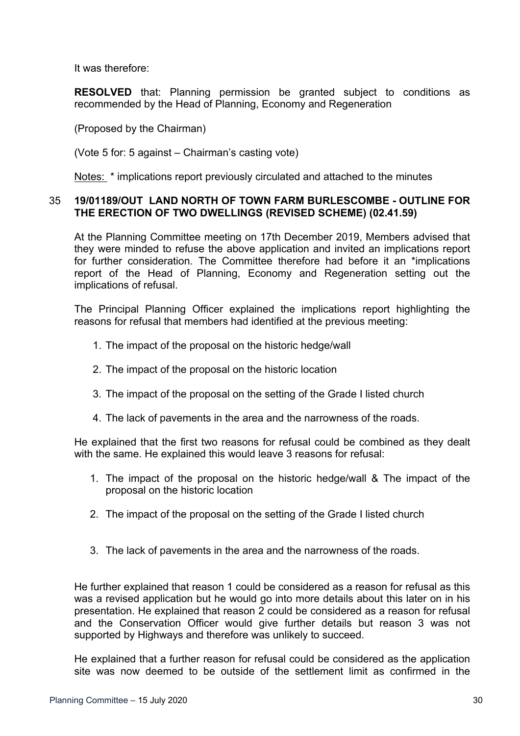It was therefore:

**RESOLVED** that: Planning permission be granted subject to conditions as recommended by the Head of Planning, Economy and Regeneration

(Proposed by the Chairman)

(Vote 5 for: 5 against – Chairman's casting vote)

Notes: \* implications report previously circulated and attached to the minutes

#### 35 **19/01189/OUT LAND NORTH OF TOWN FARM BURLESCOMBE - OUTLINE FOR THE ERECTION OF TWO DWELLINGS (REVISED SCHEME) (02.41.59)**

At the Planning Committee meeting on 17th December 2019, Members advised that they were minded to refuse the above application and invited an implications report for further consideration. The Committee therefore had before it an \*implications report of the Head of Planning, Economy and Regeneration setting out the implications of refusal.

The Principal Planning Officer explained the implications report highlighting the reasons for refusal that members had identified at the previous meeting:

- 1. The impact of the proposal on the historic hedge/wall
- 2. The impact of the proposal on the historic location
- 3. The impact of the proposal on the setting of the Grade I listed church
- 4. The lack of pavements in the area and the narrowness of the roads.

He explained that the first two reasons for refusal could be combined as they dealt with the same. He explained this would leave 3 reasons for refusal:

- 1. The impact of the proposal on the historic hedge/wall & The impact of the proposal on the historic location
- 2. The impact of the proposal on the setting of the Grade I listed church
- 3. The lack of pavements in the area and the narrowness of the roads.

He further explained that reason 1 could be considered as a reason for refusal as this was a revised application but he would go into more details about this later on in his presentation. He explained that reason 2 could be considered as a reason for refusal and the Conservation Officer would give further details but reason 3 was not supported by Highways and therefore was unlikely to succeed.

He explained that a further reason for refusal could be considered as the application site was now deemed to be outside of the settlement limit as confirmed in the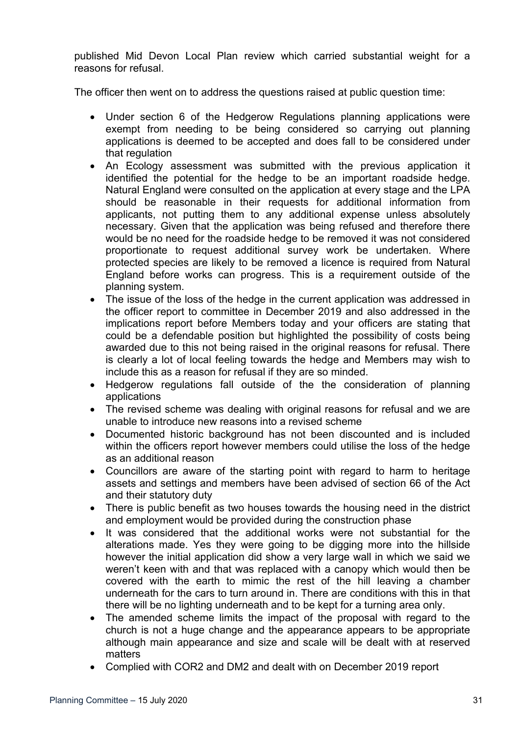published Mid Devon Local Plan review which carried substantial weight for a reasons for refusal.

The officer then went on to address the questions raised at public question time:

- Under section 6 of the Hedgerow Regulations planning applications were exempt from needing to be being considered so carrying out planning applications is deemed to be accepted and does fall to be considered under that regulation
- An Ecology assessment was submitted with the previous application it identified the potential for the hedge to be an important roadside hedge. Natural England were consulted on the application at every stage and the LPA should be reasonable in their requests for additional information from applicants, not putting them to any additional expense unless absolutely necessary. Given that the application was being refused and therefore there would be no need for the roadside hedge to be removed it was not considered proportionate to request additional survey work be undertaken. Where protected species are likely to be removed a licence is required from Natural England before works can progress. This is a requirement outside of the planning system.
- The issue of the loss of the hedge in the current application was addressed in the officer report to committee in December 2019 and also addressed in the implications report before Members today and your officers are stating that could be a defendable position but highlighted the possibility of costs being awarded due to this not being raised in the original reasons for refusal. There is clearly a lot of local feeling towards the hedge and Members may wish to include this as a reason for refusal if they are so minded.
- Hedgerow regulations fall outside of the the consideration of planning applications
- The revised scheme was dealing with original reasons for refusal and we are unable to introduce new reasons into a revised scheme
- Documented historic background has not been discounted and is included within the officers report however members could utilise the loss of the hedge as an additional reason
- Councillors are aware of the starting point with regard to harm to heritage assets and settings and members have been advised of section 66 of the Act and their statutory duty
- There is public benefit as two houses towards the housing need in the district and employment would be provided during the construction phase
- It was considered that the additional works were not substantial for the alterations made. Yes they were going to be digging more into the hillside however the initial application did show a very large wall in which we said we weren't keen with and that was replaced with a canopy which would then be covered with the earth to mimic the rest of the hill leaving a chamber underneath for the cars to turn around in. There are conditions with this in that there will be no lighting underneath and to be kept for a turning area only.
- The amended scheme limits the impact of the proposal with regard to the church is not a huge change and the appearance appears to be appropriate although main appearance and size and scale will be dealt with at reserved matters
- Complied with COR2 and DM2 and dealt with on December 2019 report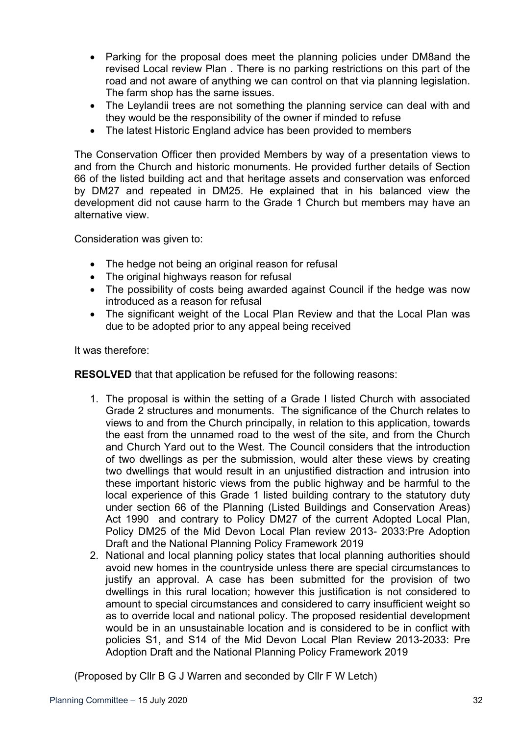- Parking for the proposal does meet the planning policies under DM8and the revised Local review Plan . There is no parking restrictions on this part of the road and not aware of anything we can control on that via planning legislation. The farm shop has the same issues.
- The Leylandii trees are not something the planning service can deal with and they would be the responsibility of the owner if minded to refuse
- The latest Historic England advice has been provided to members

The Conservation Officer then provided Members by way of a presentation views to and from the Church and historic monuments. He provided further details of Section 66 of the listed building act and that heritage assets and conservation was enforced by DM27 and repeated in DM25. He explained that in his balanced view the development did not cause harm to the Grade 1 Church but members may have an alternative view.

Consideration was given to:

- The hedge not being an original reason for refusal
- The original highways reason for refusal
- The possibility of costs being awarded against Council if the hedge was now introduced as a reason for refusal
- The significant weight of the Local Plan Review and that the Local Plan was due to be adopted prior to any appeal being received

It was therefore:

**RESOLVED** that that application be refused for the following reasons:

- 1. The proposal is within the setting of a Grade I listed Church with associated Grade 2 structures and monuments. The significance of the Church relates to views to and from the Church principally, in relation to this application, towards the east from the unnamed road to the west of the site, and from the Church and Church Yard out to the West. The Council considers that the introduction of two dwellings as per the submission, would alter these views by creating two dwellings that would result in an unjustified distraction and intrusion into these important historic views from the public highway and be harmful to the local experience of this Grade 1 listed building contrary to the statutory duty under section 66 of the Planning (Listed Buildings and Conservation Areas) Act 1990 and contrary to Policy DM27 of the current Adopted Local Plan, Policy DM25 of the Mid Devon Local Plan review 2013- 2033:Pre Adoption Draft and the National Planning Policy Framework 2019
- 2. National and local planning policy states that local planning authorities should avoid new homes in the countryside unless there are special circumstances to justify an approval. A case has been submitted for the provision of two dwellings in this rural location; however this justification is not considered to amount to special circumstances and considered to carry insufficient weight so as to override local and national policy. The proposed residential development would be in an unsustainable location and is considered to be in conflict with policies S1, and S14 of the Mid Devon Local Plan Review 2013-2033: Pre Adoption Draft and the National Planning Policy Framework 2019

(Proposed by Cllr B G J Warren and seconded by Cllr F W Letch)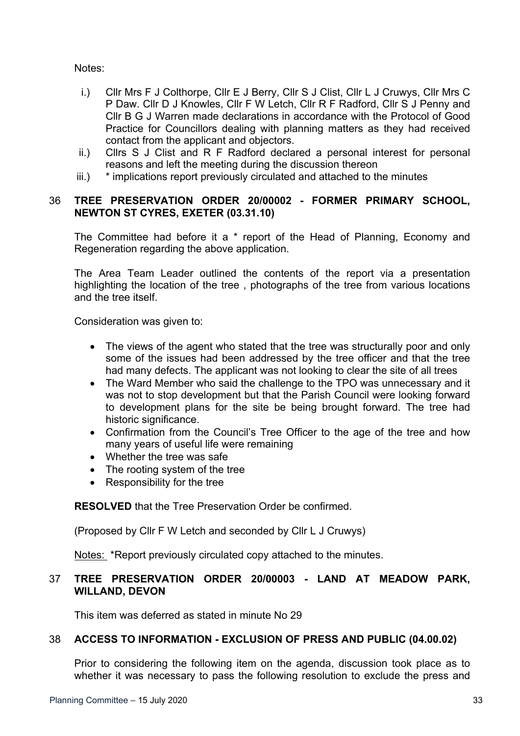Notes:

- i.) Cllr Mrs F J Colthorpe, Cllr E J Berry, Cllr S J Clist, Cllr L J Cruwys, Cllr Mrs C P Daw. Cllr D J Knowles, Cllr F W Letch, Cllr R F Radford, Cllr S J Penny and Cllr B G J Warren made declarations in accordance with the Protocol of Good Practice for Councillors dealing with planning matters as they had received contact from the applicant and objectors.
- ii.) Cllrs S J Clist and R F Radford declared a personal interest for personal reasons and left the meeting during the discussion thereon
- iii.) \* implications report previously circulated and attached to the minutes

# 36 **TREE PRESERVATION ORDER 20/00002 - FORMER PRIMARY SCHOOL, NEWTON ST CYRES, EXETER (03.31.10)**

The Committee had before it a \* report of the Head of Planning, Economy and Regeneration regarding the above application.

The Area Team Leader outlined the contents of the report via a presentation highlighting the location of the tree , photographs of the tree from various locations and the tree itself.

Consideration was given to:

- The views of the agent who stated that the tree was structurally poor and only some of the issues had been addressed by the tree officer and that the tree had many defects. The applicant was not looking to clear the site of all trees
- The Ward Member who said the challenge to the TPO was unnecessary and it was not to stop development but that the Parish Council were looking forward to development plans for the site be being brought forward. The tree had historic significance.
- Confirmation from the Council's Tree Officer to the age of the tree and how many years of useful life were remaining
- Whether the tree was safe
- The rooting system of the tree
- Responsibility for the tree

**RESOLVED** that the Tree Preservation Order be confirmed.

(Proposed by Cllr F W Letch and seconded by Cllr L J Cruwys)

Notes: \*Report previously circulated copy attached to the minutes.

# 37 **TREE PRESERVATION ORDER 20/00003 - LAND AT MEADOW PARK, WILLAND, DEVON**

This item was deferred as stated in minute No 29

# 38 **ACCESS TO INFORMATION - EXCLUSION OF PRESS AND PUBLIC (04.00.02)**

Prior to considering the following item on the agenda, discussion took place as to whether it was necessary to pass the following resolution to exclude the press and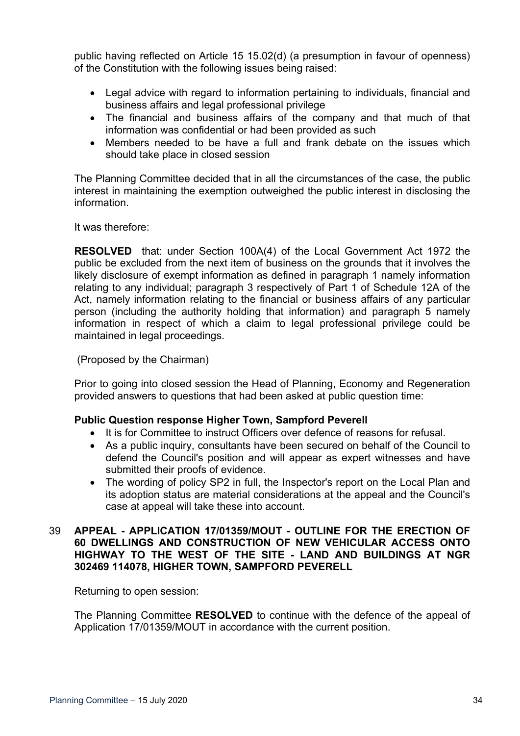public having reflected on Article 15 15.02(d) (a presumption in favour of openness) of the Constitution with the following issues being raised:

- Legal advice with regard to information pertaining to individuals, financial and business affairs and legal professional privilege
- The financial and business affairs of the company and that much of that information was confidential or had been provided as such
- Members needed to be have a full and frank debate on the issues which should take place in closed session

The Planning Committee decided that in all the circumstances of the case, the public interest in maintaining the exemption outweighed the public interest in disclosing the information.

It was therefore:

**RESOLVED** that: under Section 100A(4) of the Local Government Act 1972 the public be excluded from the next item of business on the grounds that it involves the likely disclosure of exempt information as defined in paragraph 1 namely information relating to any individual; paragraph 3 respectively of Part 1 of Schedule 12A of the Act, namely information relating to the financial or business affairs of any particular person (including the authority holding that information) and paragraph 5 namely information in respect of which a claim to legal professional privilege could be maintained in legal proceedings.

(Proposed by the Chairman)

Prior to going into closed session the Head of Planning, Economy and Regeneration provided answers to questions that had been asked at public question time:

## **Public Question response Higher Town, Sampford Peverell**

- It is for Committee to instruct Officers over defence of reasons for refusal.
- As a public inquiry, consultants have been secured on behalf of the Council to defend the Council's position and will appear as expert witnesses and have submitted their proofs of evidence.
- The wording of policy SP2 in full, the Inspector's report on the Local Plan and its adoption status are material considerations at the appeal and the Council's case at appeal will take these into account.

## 39 **APPEAL - APPLICATION 17/01359/MOUT - OUTLINE FOR THE ERECTION OF 60 DWELLINGS AND CONSTRUCTION OF NEW VEHICULAR ACCESS ONTO HIGHWAY TO THE WEST OF THE SITE - LAND AND BUILDINGS AT NGR 302469 114078, HIGHER TOWN, SAMPFORD PEVERELL**

Returning to open session:

The Planning Committee **RESOLVED** to continue with the defence of the appeal of Application 17/01359/MOUT in accordance with the current position.